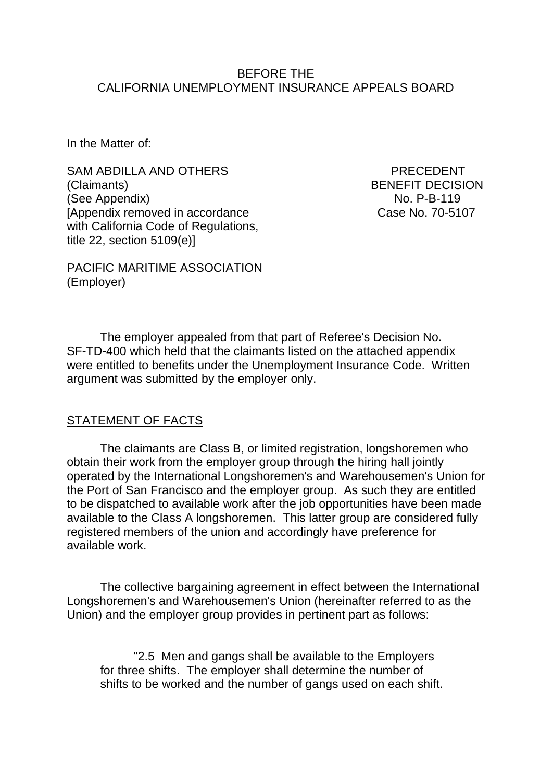#### BEFORE THE CALIFORNIA UNEMPLOYMENT INSURANCE APPEALS BOARD

In the Matter of:

SAM ABDILLA AND OTHERS PRECEDENT (Claimants) BENEFIT DECISION (See Appendix) No. P-B-119 [Appendix removed in accordance Case No. 70-5107 with California Code of Regulations, title 22, section 5109(e)]

PACIFIC MARITIME ASSOCIATION (Employer)

The employer appealed from that part of Referee's Decision No. SF-TD-400 which held that the claimants listed on the attached appendix were entitled to benefits under the Unemployment Insurance Code. Written argument was submitted by the employer only.

### STATEMENT OF FACTS

The claimants are Class B, or limited registration, longshoremen who obtain their work from the employer group through the hiring hall jointly operated by the International Longshoremen's and Warehousemen's Union for the Port of San Francisco and the employer group. As such they are entitled to be dispatched to available work after the job opportunities have been made available to the Class A longshoremen. This latter group are considered fully registered members of the union and accordingly have preference for available work.

The collective bargaining agreement in effect between the International Longshoremen's and Warehousemen's Union (hereinafter referred to as the Union) and the employer group provides in pertinent part as follows:

"2.5 Men and gangs shall be available to the Employers for three shifts. The employer shall determine the number of shifts to be worked and the number of gangs used on each shift.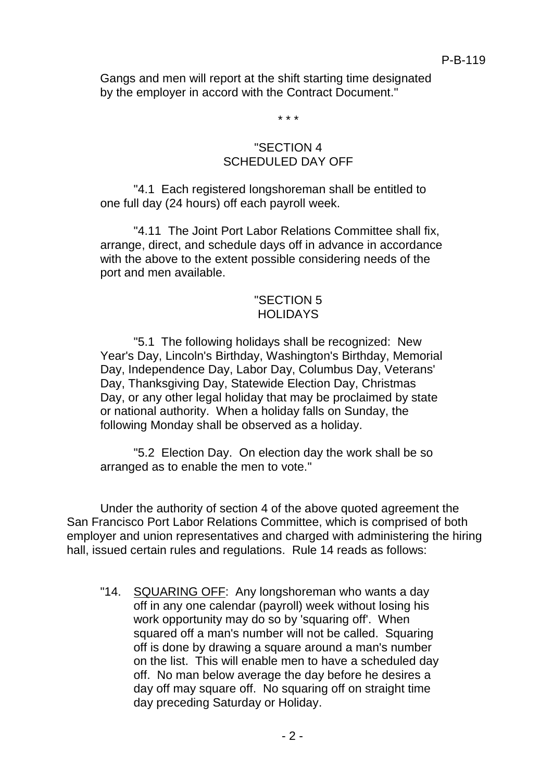Gangs and men will report at the shift starting time designated by the employer in accord with the Contract Document."

\* \* \*

# "SECTION 4 SCHEDULED DAY OFF

"4.1 Each registered longshoreman shall be entitled to one full day (24 hours) off each payroll week.

"4.11 The Joint Port Labor Relations Committee shall fix, arrange, direct, and schedule days off in advance in accordance with the above to the extent possible considering needs of the port and men available.

# "SECTION 5 **HOLIDAYS**

"5.1 The following holidays shall be recognized: New Year's Day, Lincoln's Birthday, Washington's Birthday, Memorial Day, Independence Day, Labor Day, Columbus Day, Veterans' Day, Thanksgiving Day, Statewide Election Day, Christmas Day, or any other legal holiday that may be proclaimed by state or national authority. When a holiday falls on Sunday, the following Monday shall be observed as a holiday.

"5.2 Election Day. On election day the work shall be so arranged as to enable the men to vote."

Under the authority of section 4 of the above quoted agreement the San Francisco Port Labor Relations Committee, which is comprised of both employer and union representatives and charged with administering the hiring hall, issued certain rules and regulations. Rule 14 reads as follows:

"14. SQUARING OFF: Any longshoreman who wants a day off in any one calendar (payroll) week without losing his work opportunity may do so by 'squaring off'. When squared off a man's number will not be called. Squaring off is done by drawing a square around a man's number on the list. This will enable men to have a scheduled day off. No man below average the day before he desires a day off may square off. No squaring off on straight time day preceding Saturday or Holiday.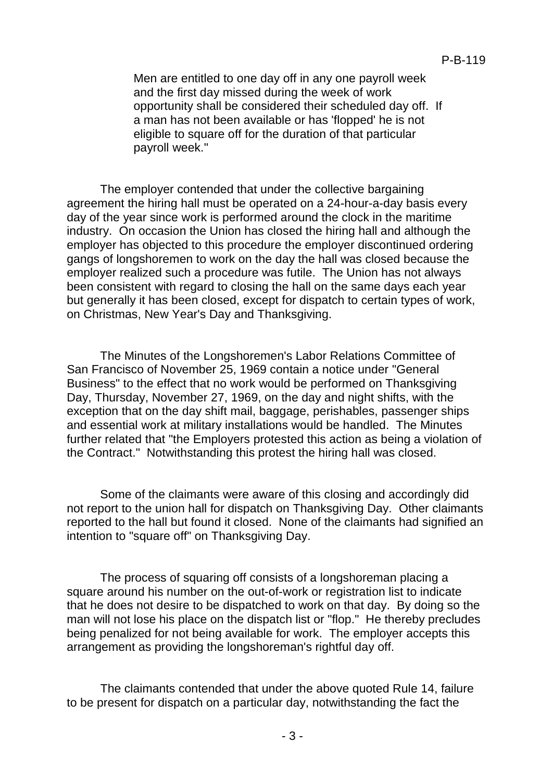Men are entitled to one day off in any one payroll week and the first day missed during the week of work opportunity shall be considered their scheduled day off. If a man has not been available or has 'flopped' he is not eligible to square off for the duration of that particular payroll week."

The employer contended that under the collective bargaining agreement the hiring hall must be operated on a 24-hour-a-day basis every day of the year since work is performed around the clock in the maritime industry. On occasion the Union has closed the hiring hall and although the employer has objected to this procedure the employer discontinued ordering gangs of longshoremen to work on the day the hall was closed because the employer realized such a procedure was futile. The Union has not always been consistent with regard to closing the hall on the same days each year but generally it has been closed, except for dispatch to certain types of work, on Christmas, New Year's Day and Thanksgiving.

The Minutes of the Longshoremen's Labor Relations Committee of San Francisco of November 25, 1969 contain a notice under "General Business" to the effect that no work would be performed on Thanksgiving Day, Thursday, November 27, 1969, on the day and night shifts, with the exception that on the day shift mail, baggage, perishables, passenger ships and essential work at military installations would be handled. The Minutes further related that "the Employers protested this action as being a violation of the Contract." Notwithstanding this protest the hiring hall was closed.

Some of the claimants were aware of this closing and accordingly did not report to the union hall for dispatch on Thanksgiving Day. Other claimants reported to the hall but found it closed. None of the claimants had signified an intention to "square off" on Thanksgiving Day.

The process of squaring off consists of a longshoreman placing a square around his number on the out-of-work or registration list to indicate that he does not desire to be dispatched to work on that day. By doing so the man will not lose his place on the dispatch list or "flop." He thereby precludes being penalized for not being available for work. The employer accepts this arrangement as providing the longshoreman's rightful day off.

The claimants contended that under the above quoted Rule 14, failure to be present for dispatch on a particular day, notwithstanding the fact the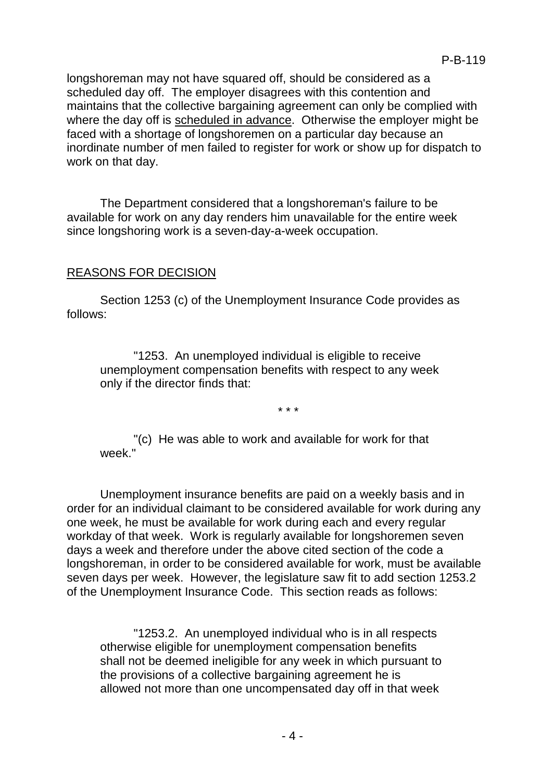longshoreman may not have squared off, should be considered as a scheduled day off. The employer disagrees with this contention and maintains that the collective bargaining agreement can only be complied with where the day off is scheduled in advance. Otherwise the employer might be faced with a shortage of longshoremen on a particular day because an inordinate number of men failed to register for work or show up for dispatch to work on that day.

The Department considered that a longshoreman's failure to be available for work on any day renders him unavailable for the entire week since longshoring work is a seven-day-a-week occupation.

# REASONS FOR DECISION

Section 1253 (c) of the Unemployment Insurance Code provides as follows:

"1253. An unemployed individual is eligible to receive unemployment compensation benefits with respect to any week only if the director finds that:

\* \* \*

"(c) He was able to work and available for work for that week<sup>"</sup>

Unemployment insurance benefits are paid on a weekly basis and in order for an individual claimant to be considered available for work during any one week, he must be available for work during each and every regular workday of that week. Work is regularly available for longshoremen seven days a week and therefore under the above cited section of the code a longshoreman, in order to be considered available for work, must be available seven days per week. However, the legislature saw fit to add section 1253.2 of the Unemployment Insurance Code. This section reads as follows:

"1253.2. An unemployed individual who is in all respects otherwise eligible for unemployment compensation benefits shall not be deemed ineligible for any week in which pursuant to the provisions of a collective bargaining agreement he is allowed not more than one uncompensated day off in that week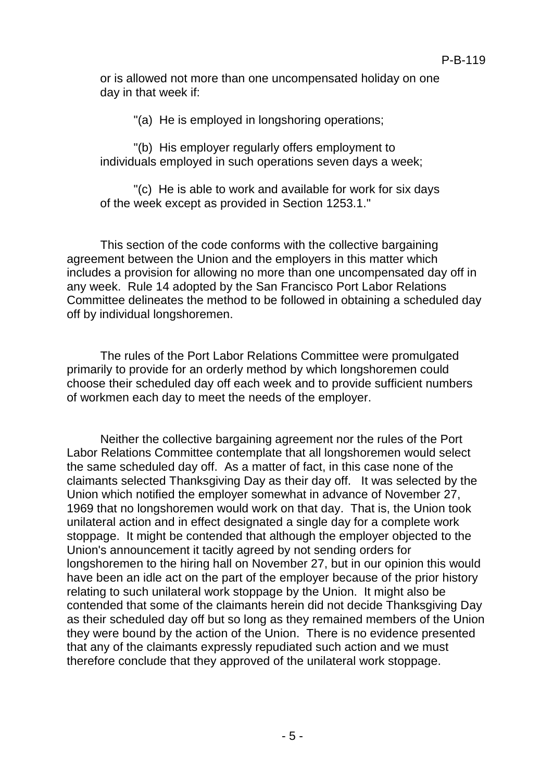or is allowed not more than one uncompensated holiday on one day in that week if:

"(a) He is employed in longshoring operations;

"(b) His employer regularly offers employment to individuals employed in such operations seven days a week;

"(c) He is able to work and available for work for six days of the week except as provided in Section 1253.1."

This section of the code conforms with the collective bargaining agreement between the Union and the employers in this matter which includes a provision for allowing no more than one uncompensated day off in any week. Rule 14 adopted by the San Francisco Port Labor Relations Committee delineates the method to be followed in obtaining a scheduled day off by individual longshoremen.

The rules of the Port Labor Relations Committee were promulgated primarily to provide for an orderly method by which longshoremen could choose their scheduled day off each week and to provide sufficient numbers of workmen each day to meet the needs of the employer.

Neither the collective bargaining agreement nor the rules of the Port Labor Relations Committee contemplate that all longshoremen would select the same scheduled day off. As a matter of fact, in this case none of the claimants selected Thanksgiving Day as their day off. It was selected by the Union which notified the employer somewhat in advance of November 27, 1969 that no longshoremen would work on that day. That is, the Union took unilateral action and in effect designated a single day for a complete work stoppage. It might be contended that although the employer objected to the Union's announcement it tacitly agreed by not sending orders for longshoremen to the hiring hall on November 27, but in our opinion this would have been an idle act on the part of the employer because of the prior history relating to such unilateral work stoppage by the Union. It might also be contended that some of the claimants herein did not decide Thanksgiving Day as their scheduled day off but so long as they remained members of the Union they were bound by the action of the Union. There is no evidence presented that any of the claimants expressly repudiated such action and we must therefore conclude that they approved of the unilateral work stoppage.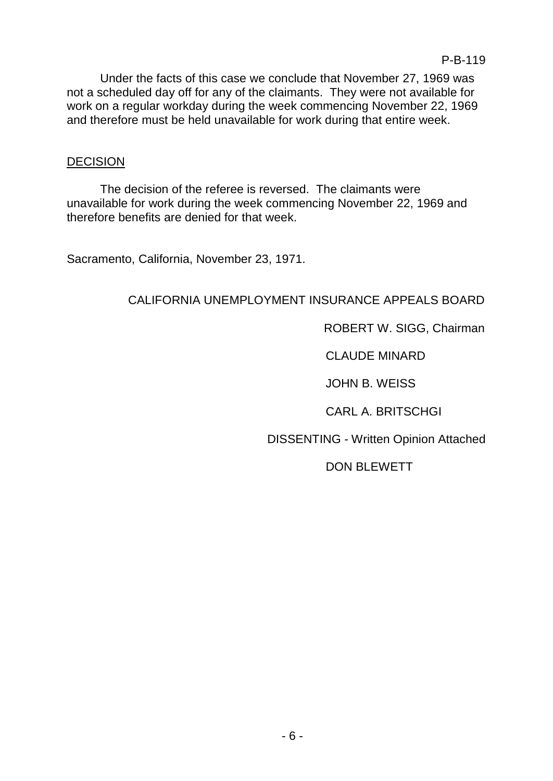Under the facts of this case we conclude that November 27, 1969 was not a scheduled day off for any of the claimants. They were not available for work on a regular workday during the week commencing November 22, 1969 and therefore must be held unavailable for work during that entire week.

# **DECISION**

The decision of the referee is reversed. The claimants were unavailable for work during the week commencing November 22, 1969 and therefore benefits are denied for that week.

Sacramento, California, November 23, 1971.

# CALIFORNIA UNEMPLOYMENT INSURANCE APPEALS BOARD

ROBERT W. SIGG, Chairman

CLAUDE MINARD

JOHN B. WEISS

CARL A. BRITSCHGI

DISSENTING - Written Opinion Attached

DON BLEWETT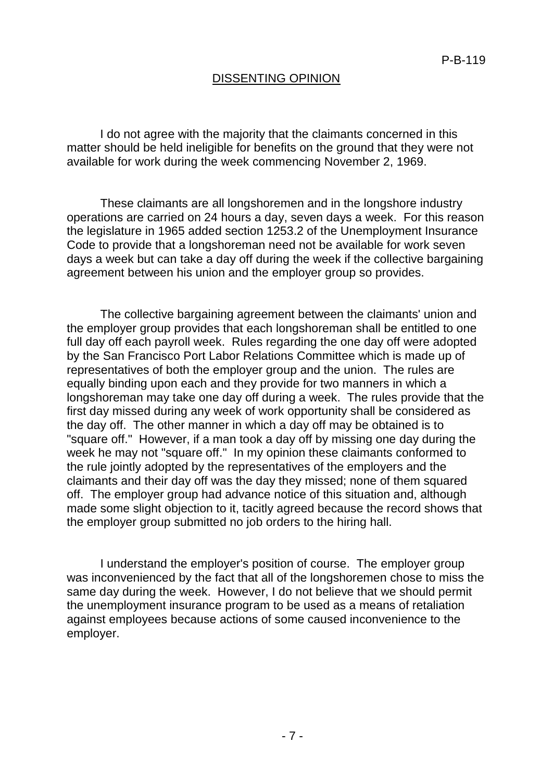# DISSENTING OPINION

I do not agree with the majority that the claimants concerned in this matter should be held ineligible for benefits on the ground that they were not available for work during the week commencing November 2, 1969.

These claimants are all longshoremen and in the longshore industry operations are carried on 24 hours a day, seven days a week. For this reason the legislature in 1965 added section 1253.2 of the Unemployment Insurance Code to provide that a longshoreman need not be available for work seven days a week but can take a day off during the week if the collective bargaining agreement between his union and the employer group so provides.

The collective bargaining agreement between the claimants' union and the employer group provides that each longshoreman shall be entitled to one full day off each payroll week. Rules regarding the one day off were adopted by the San Francisco Port Labor Relations Committee which is made up of representatives of both the employer group and the union. The rules are equally binding upon each and they provide for two manners in which a longshoreman may take one day off during a week. The rules provide that the first day missed during any week of work opportunity shall be considered as the day off. The other manner in which a day off may be obtained is to "square off." However, if a man took a day off by missing one day during the week he may not "square off." In my opinion these claimants conformed to the rule jointly adopted by the representatives of the employers and the claimants and their day off was the day they missed; none of them squared off. The employer group had advance notice of this situation and, although made some slight objection to it, tacitly agreed because the record shows that the employer group submitted no job orders to the hiring hall.

I understand the employer's position of course. The employer group was inconvenienced by the fact that all of the longshoremen chose to miss the same day during the week. However, I do not believe that we should permit the unemployment insurance program to be used as a means of retaliation against employees because actions of some caused inconvenience to the employer.